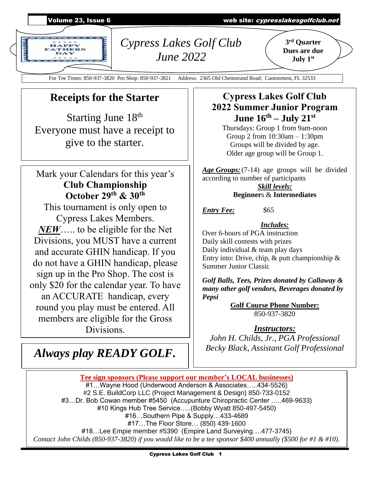

For Tee Times: 850-937-3820 Pro Shop: 850-937-3821 Address: 2365 Old Chemstrand Road; Cantonment, FL 32533

## **Receipts for the Starter**

Starting June 18<sup>th</sup> Everyone must have a receipt to give to the starter.

## Mark your Calendars for this year's **Club Championship October 29th & 30th**

This tournament is only open to Cypress Lakes Members. *NEW*….. to be eligible for the Net Divisions, you MUST have a current and accurate GHIN handicap. If you do not have a GHIN handicap, please sign up in the Pro Shop. The cost is only \$20 for the calendar year. To have an ACCURATE handicap, every round you play must be entered. All members are eligible for the Gross Divisions.

# *Always play READY GOLF.*

## **Cypress Lakes Golf Club 2022 Summer Junior Program June 16th – July 21st**

Thursdays: Group 1 from 9am-noon Group 2 from 10:30am – 1:30pm Groups will be divided by age. Older age group will be Group 1.

*Age Groups:*(7-14) age groups will be divided according to number of participants *Skill levels:* **Beginner**s & **Intermediates**

*Entry Fee:* \$65

#### *Includes:*

Over 6-hours of PGA instruction Daily skill contests with prizes Daily individual & team play days Entry into: Drive, chip,  $\&$  putt championship  $\&$ Summer Junior Classic

*Golf Balls, Tees, Prizes donated by Callaway & many other golf vendors, Beverages donated by Pepsi*

**Golf Course Phone Number:** 850-937-3820

#### *Instructors:*

*John H. Childs, Jr., PGA Professional Becky Black, Assistant Golf Professional*

**Tee sign sponsors (Please support our member's LOCAL businesses)** #1…Wayne Hood (Underwood Anderson & Associates…..434-5526) #2 S.E. BuildCorp LLC (Project Management & Design) 850-733-0152 #3…Dr. Bob Cowan member #5450 (Accupunture Chiropractic Center …..469-9633) #10 Kings Hub Tree Service…..(Bobby Wyatt 850-497-5450) #16…Southern Pipe & Supply[…433-4689](javascript:void(0)) #17…The Floor Store… [\(850\) 439-1600](https://www.google.com/search?q=the+floor+store+pensacola&rlz=1C1CHBF_enUS854US854&oq=the+floor+sto&aqs=chrome.0.0i355j46i175i199j0i433i457j0j69i57j46i175i199j0j46i175i199l2j0.2834j0j15&sourceid=chrome&ie=UTF-8) #18…Lee Empie member #5390 (Empire Land Surveying….477-3745) *Contact John Childs (850-937-3820) if you would like to be a tee sponsor \$400 annually (\$500 for #1 & #10).*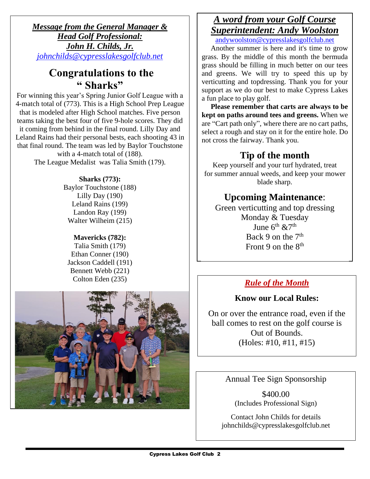*Message from the General Manager & Head Golf Professional: John H. Childs, Jr. [johnchilds@cypresslakesgolfclub.net](mailto:johnchilds@cypresslakesgolfclub.net)* Ì

## **Congratulations to the " Sharks"**

For winning this year's Spring Junior Golf League with a 4-match total of (773). This is a High School Prep League that is modeled after High School matches. Five person teams taking the best four of five 9-hole scores. They did it coming from behind in the final round. Lilly Day and Leland Rains had their personal bests, each shooting 43 in that final round. The team was led by Baylor Touchstone with a 4-match total of (188).

The League Medalist was Talia Smith (179).

#### **Sharks (773):**

Baylor Touchstone (188) Lilly Day (190) Leland Rains (199) Landon Ray (199) Walter Wilheim (215)

#### **Mavericks (782):**

Talia Smith (179) Ethan Conner (190) Jackson Caddell (191) Bennett Webb (221) Colton Eden (235)



## *A word from your Golf Course Superintendent: Andy Woolston*

[andywoolston@cypresslakesgolfclub.net](mailto:andywoolston@cypresslakesgolfclub.net)

 Another summer is here and it's time to grow grass. By the middle of this month the bermuda grass should be filling in much better on our tees and greens. We will try to speed this up by verticutting and topdressing. Thank you for your support as we do our best to make Cypress Lakes a fun place to play golf.

 **Please remember that carts are always to be kept on paths around tees and greens.** When we are "Cart path only", where there are no cart paths, select a rough and stay on it for the entire hole. Do not cross the fairway. Thank you.

## **Tip of the month**

Keep yourself and your turf hydrated, treat for summer annual weeds, and keep your mower blade sharp.

## **Upcoming Maintenance**:

Green verticutting and top dressing Monday & Tuesday June  $6^{th}$  &7<sup>th</sup> Back 9 on the  $7<sup>th</sup>$ Front 9 on the  $8<sup>th</sup>$ 

### *Rule of the Month*

### **Know our Local Rules:**

On or over the entrance road, even if the ball comes to rest on the golf course is Out of Bounds. (Holes: #10, #11, #15)

Annual Tee Sign Sponsorship

\$400.00 (Includes Professional Sign)

Contact John Childs for details johnchilds@cypresslakesgolfclub.net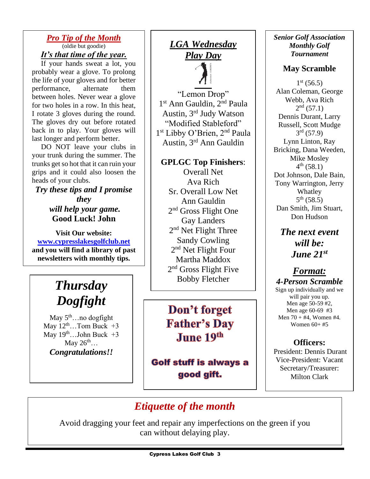#### *Pro Tip of the Month* (oldie but goodie) *It's that time of the year.*

 If your hands sweat a lot, you probably wear a glove. To prolong the life of your gloves and for better performance, alternate them between holes. Never wear a glove for two holes in a row. In this heat, I rotate 3 gloves during the round. The gloves dry out before rotated back in to play. Your gloves will last longer and perform better.

 DO NOT leave your clubs in your trunk during the summer. The trunks get so hot that it can ruin your grips and it could also loosen the heads of your clubs.

*Try these tips and I promise they will help your game.*  **Good Luck! John**

**Visit Our website: [www.cypresslakesgolfclub.net](http://www.cypresslakesgolfclub.net/) and you will find a library of past newsletters with monthly tips.**

**Good Luck! John**

#### $Thus day$ *Dogfight* **more????? Get a golf lesson**

May 5<sup>th</sup>…no dogfight May  $12^{th}$ ...Tom Buck  $+3$ May  $19^{th}$ ...John Buck  $+3$ May  $26^{\text{th}}$ … *Congratulations!!*

## *LGA Wednesday Play Day*

"Lemon Drop"

1 st Ann Gauldin, 2nd Paula Austin, 3rd Judy Watson "Modified Stableford" 1 st Libby O'Brien, 2nd Paula Austin, 3rd Ann Gauldin

#### **GPLGC Top Finishers**:

Overall Net Ava Rich Sr. Overall Low Net Ann Gauldin 2<sup>nd</sup> Gross Flight One Gay Landers 2<sup>nd</sup> Net Flight Three Sandy Cowling 2<sup>nd</sup> Net Flight Four Martha Maddox 2<sup>nd</sup> Gross Flight Five Bobby Fletcher

Don't forget **Father's Day June 19th** 

**Golf stuff is always a** good gift.

#### *Senior Golf Association Monthly Golf Tournament*

### **May Scramble**

 $1<sup>st</sup>$  (56.5) Alan Coleman, George Webb, Ava Rich  $2^{nd}$  (57.1) Dennis Durant, Larry Russell, Scott Mudge  $3^{rd}$  (57.9) Lynn Linton, Ray Bricking, Dana Weeden, Mike Mosley  $4^{\text{th}}$  (58.1) Dot Johnson, Dale Bain, Tony Warrington, Jerry Whatley  $5^{\text{th}}$  (58.5) Dan Smith, Jim Stuart, Don Hudson

*The next event will be: June 21st*

#### *Format: 4-Person Scramble* Sign up individually and we will pair you up. Men age 50-59 #2, Men age 60-69 #3 Men  $70 + #4$ , Women #4. Women 60+ #5

### **Officers:**

President: Dennis Durant Vice-President: Vacant Secretary/Treasurer: Milton Clark

## *Etiquette of the month*

Avoid dragging your feet and repair any imperfections on the green if you can without delaying play.